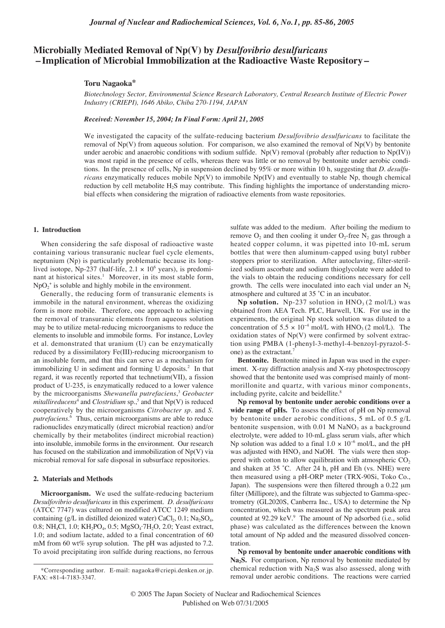# **Microbially Mediated Removal of Np(V) by** *Desulfovibrio desulfuricans* **– Implication of Microbial Immobilization at the Radioactive Waste Repository –**

## **Toru Nagaoka\***

*Biotechnology Sector, Environmental Science Research Laboratory, Central Research Institute of Electric Power Industry (CRIEPI), 1646 Abiko, Chiba 270-1194, JAPAN*

*Received: November 15, 2004; In Final Form: April 21, 2005*

We investigated the capacity of the sulfate-reducing bacterium *Desulfovibrio desulfuricans* to facilitate the removal of  $Np(V)$  from aqueous solution. For comparison, we also examined the removal of  $Np(V)$  by bentonite under aerobic and anaerobic conditions with sodium sulfide.  $Np(V)$  removal (probably after reduction to  $Np(V)$ ) was most rapid in the presence of cells, whereas there was little or no removal by bentonite under aerobic conditions. In the presence of cells, Np in suspension declined by 95% or more within 10 h, suggesting that *D. desulfuricans* enzymatically reduces mobile Np(V) to immobile Np(IV) and eventually to stable Np, though chemical reduction by cell metabolite  $H_2S$  may contribute. This finding highlights the importance of understanding microbial effects when considering the migration of radioactive elements from waste repositories.

#### **1. Introduction**

When considering the safe disposal of radioactive waste containing various transuranic nuclear fuel cycle elements, neptunium (Np) is particularly problematic because its longlived isotope, Np-237 (half-life,  $2.1 \times 10^6$  years), is predominant at historical sites.<sup>1</sup> Moreover, in its most stable form,  $NpO_2$ <sup>+</sup> is soluble and highly mobile in the environment.

Generally, the reducing form of transuranic elements is immobile in the natural environment, whereas the oxidizing form is more mobile. Therefore, one approach to achieving the removal of transuranic elements from aqueous solution may be to utilize metal-reducing microorganisms to reduce the elements to insoluble and immobile forms. For instance, Lovley et al. demonstrated that uranium (U) can be enzymatically reduced by a dissimilatory Fe(III)-reducing microorganism to an insoluble form, and that this can serve as a mechanism for immobilizing U in sediment and forming U deposits.<sup>2</sup> In that regard, it was recently reported that technetium(VII), a fission product of U-235, is enzymatically reduced to a lower valence by the microorganisms *Shewanella putrefaciens*, <sup>3</sup> *Geobacter mitallireducens*<sup>4</sup> and *Clostridium* sp.,<sup>5</sup> and that  $Np(V)$  is reduced cooperatively by the microorganisms *Citrobacter sp.* and *S. putrefaciens*. <sup>6</sup> Thus, certain microorganisms are able to reduce radionuclides enzymatically (direct microbial reaction) and/or chemically by their metabolites (indirect microbial reaction) into insoluble, immobile forms in the environment. Our research has focused on the stabilization and immobilization of  $Np(V)$  via microbial removal for safe disposal in subsurface repositories.

### **2. Materials and Methods**

**Microorganism.** We used the sulfate-reducing bacterium *Desulfovibrio desulfuricans* in this experiment. *D. desulfuricans* (ATCC 7747) was cultured on modified ATCC 1249 medium containing (g/L in distilled deionized water)  $CaCl<sub>2</sub>$ , 0.1; Na<sub>2</sub>SO<sub>4</sub>, 0.8; NH<sub>4</sub>Cl, 1.0; KH<sub>2</sub>PO<sub>4</sub>, 0.5; MgSO<sub>4</sub>·7H<sub>2</sub>O, 2.0; Yeast extract, 1.0; and sodium lactate, added to a final concentration of 60 mM from 60 wt% syrup solution. The pH was adjusted to 7.2. To avoid precipitating iron sulfide during reactions, no ferrous

sulfate was added to the medium. After boiling the medium to remove  $O_2$  and then cooling it under  $O_2$ -free  $N_2$  gas through a heated copper column, it was pipetted into 10-mL serum bottles that were then aluminum-capped using butyl rubber stoppers prior to sterilization. After autoclaving, filter-sterilized sodium ascorbate and sodium thioglycolate were added to the vials to obtain the reducing conditions necessary for cell growth. The cells were inoculated into each vial under an  $N_2$ atmosphere and cultured at 35 ˚C in an incubator.

**Np solution.** Np-237 solution in  $HNO<sub>3</sub>(2 mol/L)$  was obtained from AEA Tech. PLC, Harwell, UK. For use in the experiments, the original Np stock solution was diluted to a concentration of 5.5 × 10<sup>-4</sup> mol/L with HNO<sub>3</sub> (2 mol/L). The oxidation states of  $Np(V)$  were confirmed by solvent extraction using PMBA (1-phenyl-3-methyl-4-benzoyl-pyrazol-5 one) as the extractant.7

**Bentonite.** Bentonite mined in Japan was used in the experiment. X-ray diffraction analysis and X-ray photospectroscopy showed that the bentonite used was comprised mainly of montmorillonite and quartz, with various minor components, including pyrite, calcite and beidellite.<sup>8</sup>

**Np removal by bentonite under aerobic conditions over a** wide range of pHs. To assess the effect of pH on Np removal by bentonite under aerobic conditions, 5 mL of 0.5 g/L bentonite suspension, with  $0.01$  M NaNO<sub>3</sub> as a background electrolyte, were added to 10-mL glass serum vials, after which Np solution was added to a final  $1.0 \times 10^{-6}$  mol/L, and the pH was adjusted with  $HNO<sub>3</sub>$  and NaOH. The vials were then stoppered with cotton to allow equilibration with atmospheric  $CO<sub>2</sub>$ and shaken at 35 ˚C. After 24 h, pH and Eh (vs. NHE) were then measured using a pH-ORP meter (TRX-90Si, Toko Co., Japan). The suspensions were then filtered through a 0.22 µm filter (Millipore), and the filtrate was subjected to Gamma-spectrometry (GL2020S, Canberra Inc., USA) to determine the Np concentration, which was measured as the spectrum peak area counted at 92.29 keV.<sup>9</sup> The amount of Np adsorbed (i.e., solid phase) was calculated as the differences between the known total amount of Np added and the measured dissolved concentration.

**Np removal by bentonite under anaerobic conditions with** Na<sub>2</sub>S. For comparison, Np removal by bentonite mediated by chemical reduction with  $Na<sub>2</sub>S$  was also assessed, along with removal under aerobic conditions. The reactions were carried

<sup>\*</sup>Corresponding author. E-mail: nagaoka@criepi.denken.or.jp. FAX: +81-4-7183-3347.